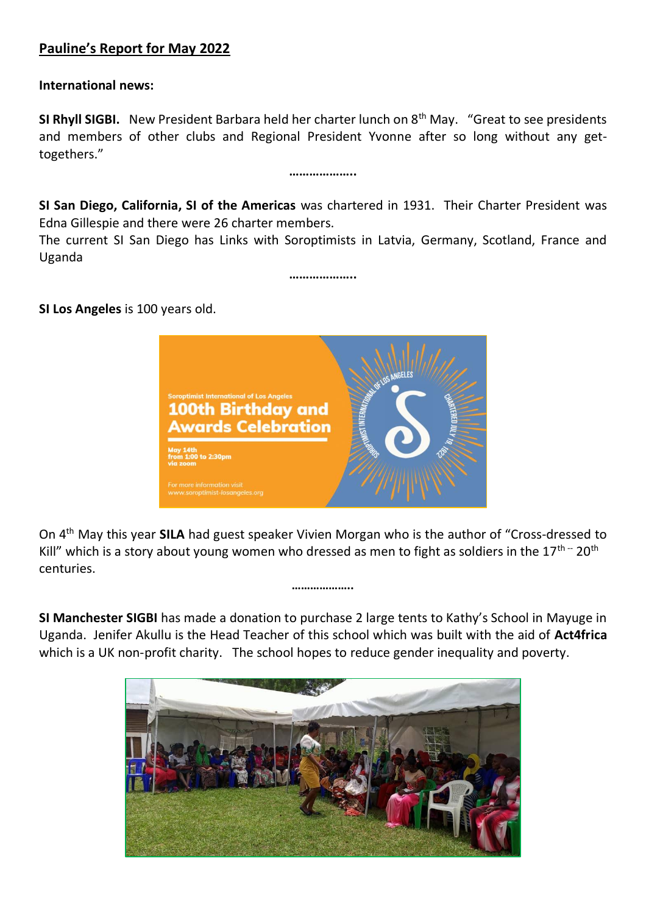## **Pauline's Report for May 2022**

**International news:**

**SI Rhyll SIGBI.** New President Barbara held her charter lunch on 8th May. "Great to see presidents and members of other clubs and Regional President Yvonne after so long without any gettogethers."

**………………..**

**SI San Diego, California, SI of the Americas** was chartered in 1931. Their Charter President was Edna Gillespie and there were 26 charter members.

The current SI San Diego has Links with Soroptimists in Latvia, Germany, Scotland, France and Uganda

**………………..**

**SI Los Angeles** is 100 years old.



On 4th May this year **SILA** had guest speaker Vivien Morgan who is the author of "Cross-dressed to Kill" which is a story about young women who dressed as men to fight as soldiers in the  $17<sup>th</sup>$  - 20<sup>th</sup> centuries.

**………………..**

**SI Manchester SIGBI** has made a donation to purchase 2 large tents to Kathy's School in Mayuge in Uganda. Jenifer Akullu is the Head Teacher of this school which was built with the aid of **Act4frica**  which is a UK non-profit charity. The school hopes to reduce gender inequality and poverty.